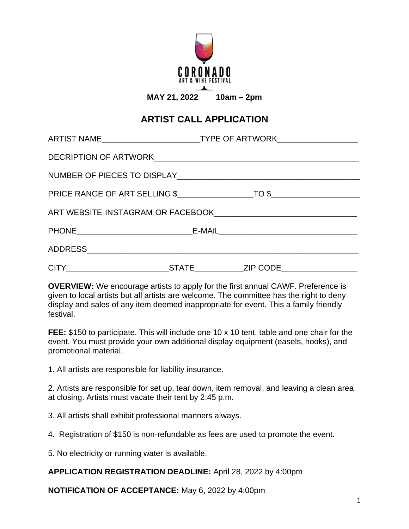

## **ARTIST CALL APPLICATION**

| ARTIST NAME____________________________TYPE OF ARTWORK__________________________ |  |  |
|----------------------------------------------------------------------------------|--|--|
|                                                                                  |  |  |
|                                                                                  |  |  |
|                                                                                  |  |  |
|                                                                                  |  |  |
|                                                                                  |  |  |
|                                                                                  |  |  |
|                                                                                  |  |  |

**OVERVIEW:** We encourage artists to apply for the first annual CAWF. Preference is given to local artists but all artists are welcome. The committee has the right to deny display and sales of any item deemed inappropriate for event. This a family friendly festival.

**FEE:** \$150 to participate. This will include one 10 x 10 tent, table and one chair for the event. You must provide your own additional display equipment (easels, hooks), and promotional material.

1. All artists are responsible for liability insurance.

2. Artists are responsible for set up, tear down, item removal, and leaving a clean area at closing. Artists must vacate their tent by 2:45 p.m.

3. All artists shall exhibit professional manners always.

4. Registration of \$150 is non‐refundable as fees are used to promote the event.

5. No electricity or running water is available.

**APPLICATION REGISTRATION DEADLINE:** April 28, 2022 by 4:00pm

**NOTIFICATION OF ACCEPTANCE:** May 6, 2022 by 4:00pm